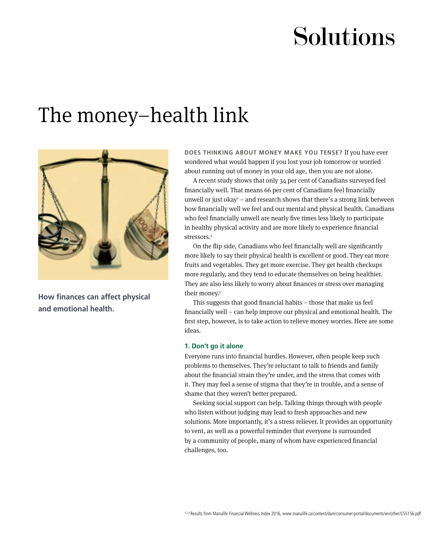# Solutions

## The money–health link



**How finances can affect physical and emotional health.**

**DOES THINKING ABOUT MONEY MAKE YOU TENSE?** If you have ever wondered what would happen if you lost your job tomorrow or worried about running out of money in your old age, then you are not alone.

A recent study shows that only 34 per cent of Canadians surveyed feel financially well. That means 66 per cent of Canadians feel financially unwell or just okay $<sup>1</sup>$  – and research shows that there's a strong link between</sup> how financially well we feel and our mental and physical health. Canadians who feel financially unwell are nearly five times less likely to participate in healthy physical activity and are more likely to experience financial stressors.<sup>2</sup>

On the flip side, Canadians who feel financially well are significantly more likely to say their physical health is excellent or good. They eat more fruits and vegetables. They get more exercise. They get health checkups more regularly, and they tend to educate themselves on being healthier. They are also less likely to worry about finances or stress over managing their money.3

This suggests that good financial habits – those that make us feel financially well – can help improve our physical and emotional health. The first step, however, is to take action to relieve money worries. Here are some ideas.

### **1. Don't go it alone**

Everyone runs into financial hurdles. However, often people keep such problems to themselves. They're reluctant to talk to friends and family about the financial strain they're under, and the stress that comes with it. They may feel a sense of stigma that they're in trouble, and a sense of shame that they weren't better prepared.

Seeking social support can help. Talking things through with people who listen without judging may lead to fresh approaches and new solutions. More importantly, it's a stress reliever. It provides an opportunity to vent, as well as a powerful reminder that everyone is surrounded by a community of people, many of whom have experienced financial challenges, too.